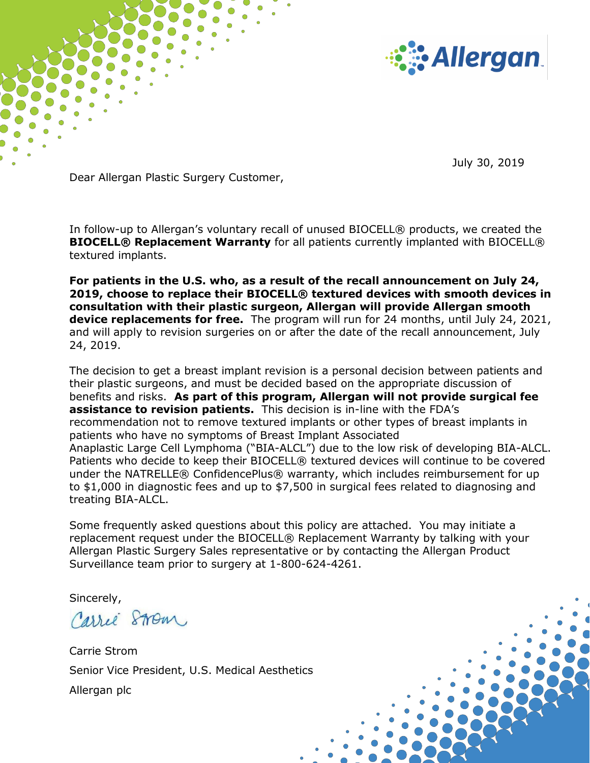

July 30, 2019

Dear Allergan Plastic Surgery Customer,

In follow-up to Allergan's voluntary recall of unused BIOCELL® products, we created the **BIOCELL® Replacement Warranty** for all patients currently implanted with BIOCELL® textured implants.

**For patients in the U.S. who, as a result of the recall announcement on July 24, 2019, choose to replace their BIOCELL® textured devices with smooth devices in consultation with their plastic surgeon, Allergan will provide Allergan smooth device replacements for free.** The program will run for 24 months, until July 24, 2021, and will apply to revision surgeries on or after the date of the recall announcement, July 24, 2019.

The decision to get a breast implant revision is a personal decision between patients and their plastic surgeons, and must be decided based on the appropriate discussion of benefits and risks. **As part of this program, Allergan will not provide surgical fee assistance to revision patients.** This decision is in-line with the FDA's recommendation not to remove textured implants or other types of breast implants in patients who have no symptoms of Breast Implant Associated Anaplastic Large Cell Lymphoma ("BIA-ALCL") due to the low risk of developing BIA-ALCL. Patients who decide to keep their BIOCELL® textured devices will continue to be covered under the NATRELLE® ConfidencePlus® warranty, which includes reimbursement for up to \$1,000 in diagnostic fees and up to \$7,500 in surgical fees related to diagnosing and treating BIA-ALCL.

Some frequently asked questions about this policy are attached. You may initiate a replacement request under the BIOCELL® Replacement Warranty by talking with your Allergan Plastic Surgery Sales representative or by contacting the Allergan Product Surveillance team prior to surgery at 1-800-624-4261.

Sincerely,

Carrie Strom

Carrie Strom Senior Vice President, U.S. Medical Aesthetics Allergan plc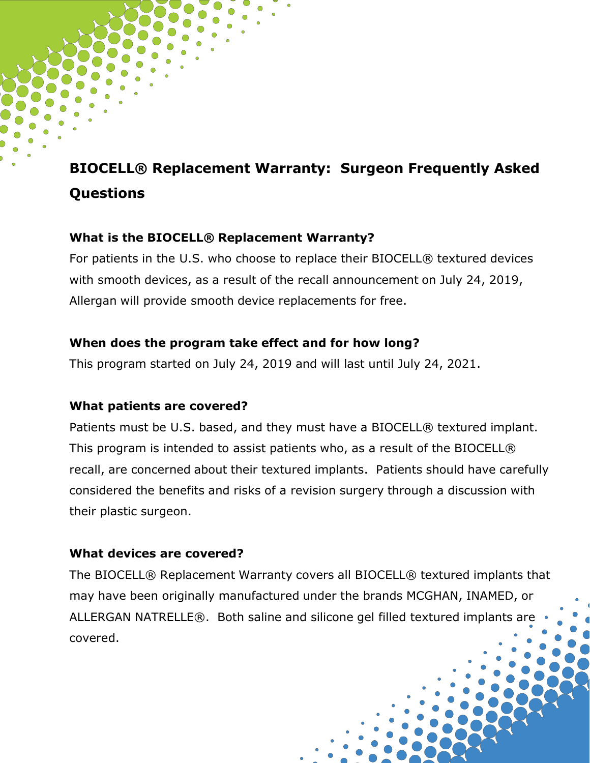# **BIOCELL® Replacement Warranty: Surgeon Frequently Asked Questions**

### **What is the BIOCELL® Replacement Warranty?**

For patients in the U.S. who choose to replace their BIOCELL® textured devices with smooth devices, as a result of the recall announcement on July 24, 2019, Allergan will provide smooth device replacements for free.

### **When does the program take effect and for how long?**

This program started on July 24, 2019 and will last until July 24, 2021.

#### **What patients are covered?**

Patients must be U.S. based, and they must have a BIOCELL® textured implant. This program is intended to assist patients who, as a result of the BIOCELL® recall, are concerned about their textured implants. Patients should have carefully considered the benefits and risks of a revision surgery through a discussion with their plastic surgeon.

### **What devices are covered?**

The BIOCELL® Replacement Warranty covers all BIOCELL® textured implants that may have been originally manufactured under the brands MCGHAN, INAMED, or ALLERGAN NATRELLE®. Both saline and silicone gel filled textured implants are covered.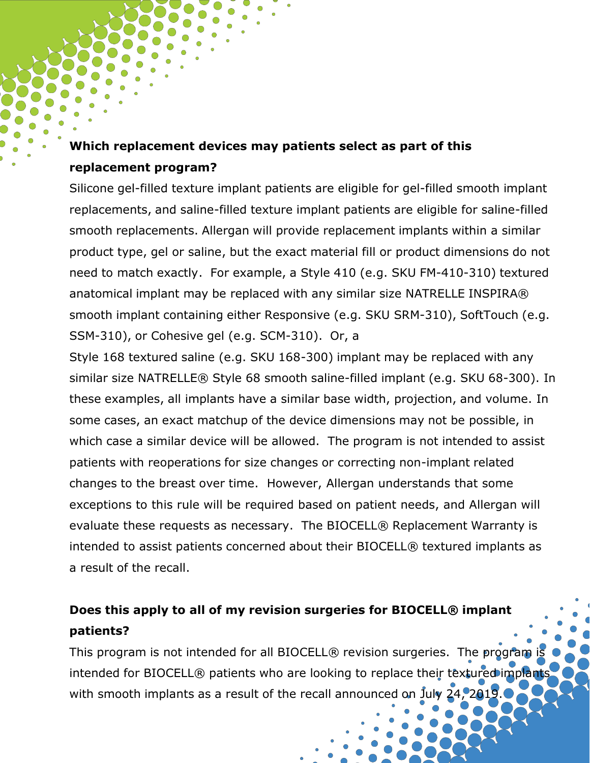# **Which replacement devices may patients select as part of this replacement program?**

Silicone gel-filled texture implant patients are eligible for gel-filled smooth implant replacements, and saline-filled texture implant patients are eligible for saline-filled smooth replacements. Allergan will provide replacement implants within a similar product type, gel or saline, but the exact material fill or product dimensions do not need to match exactly. For example, a Style 410 (e.g. SKU FM-410-310) textured anatomical implant may be replaced with any similar size NATRELLE INSPIRA® smooth implant containing either Responsive (e.g. SKU SRM-310), SoftTouch (e.g. SSM-310), or Cohesive gel (e.g. SCM-310). Or, a

Style 168 textured saline (e.g. SKU 168-300) implant may be replaced with any similar size NATRELLE® Style 68 smooth saline-filled implant (e.g. SKU 68-300). In these examples, all implants have a similar base width, projection, and volume. In some cases, an exact matchup of the device dimensions may not be possible, in which case a similar device will be allowed. The program is not intended to assist patients with reoperations for size changes or correcting non-implant related changes to the breast over time. However, Allergan understands that some exceptions to this rule will be required based on patient needs, and Allergan will evaluate these requests as necessary. The BIOCELL® Replacement Warranty is intended to assist patients concerned about their BIOCELL® textured implants as a result of the recall.

# **Does this apply to all of my revision surgeries for BIOCELL® implant patients?**

This program is not intended for all BIOCELL® revision surgeries. The program is intended for BIOCELL® patients who are looking to replace their textured implants with smooth implants as a result of the recall announced on July 24, 2019.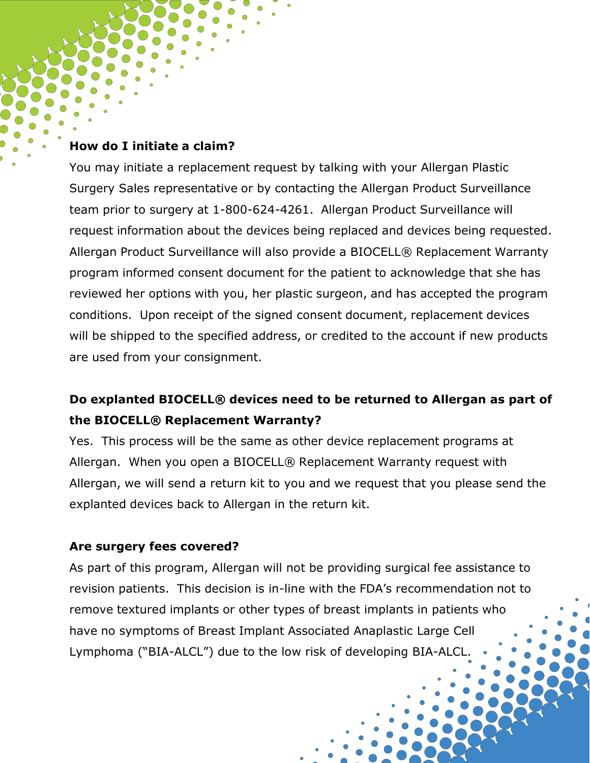#### **How do I initiate a claim?**

You may initiate a replacement request by talking with your Allergan Plastic Surgery Sales representative or by contacting the Allergan Product Surveillance team prior to surgery at 1-800-624-4261. Allergan Product Surveillance will request information about the devices being replaced and devices being requested. Allergan Product Surveillance will also provide a BIOCELL® Replacement Warranty program informed consent document for the patient to acknowledge that she has reviewed her options with you, her plastic surgeon, and has accepted the program conditions. Upon receipt of the signed consent document, replacement devices will be shipped to the specified address, or credited to the account if new products are used from your consignment.

## **Do explanted BIOCELL® devices need to be returned to Allergan as part of the BIOCELL® Replacement Warranty?**

Yes. This process will be the same as other device replacement programs at Allergan. When you open a BIOCELL® Replacement Warranty request with Allergan, we will send a return kit to you and we request that you please send the explanted devices back to Allergan in the return kit.

#### **Are surgery fees covered?**

As part of this program, Allergan will not be providing surgical fee assistance to revision patients. This decision is in-line with the FDA's recommendation not to remove textured implants or other types of breast implants in patients who have no symptoms of Breast Implant Associated Anaplastic Large Cell Lymphoma ("BIA-ALCL") due to the low risk of developing BIA-ALCL.